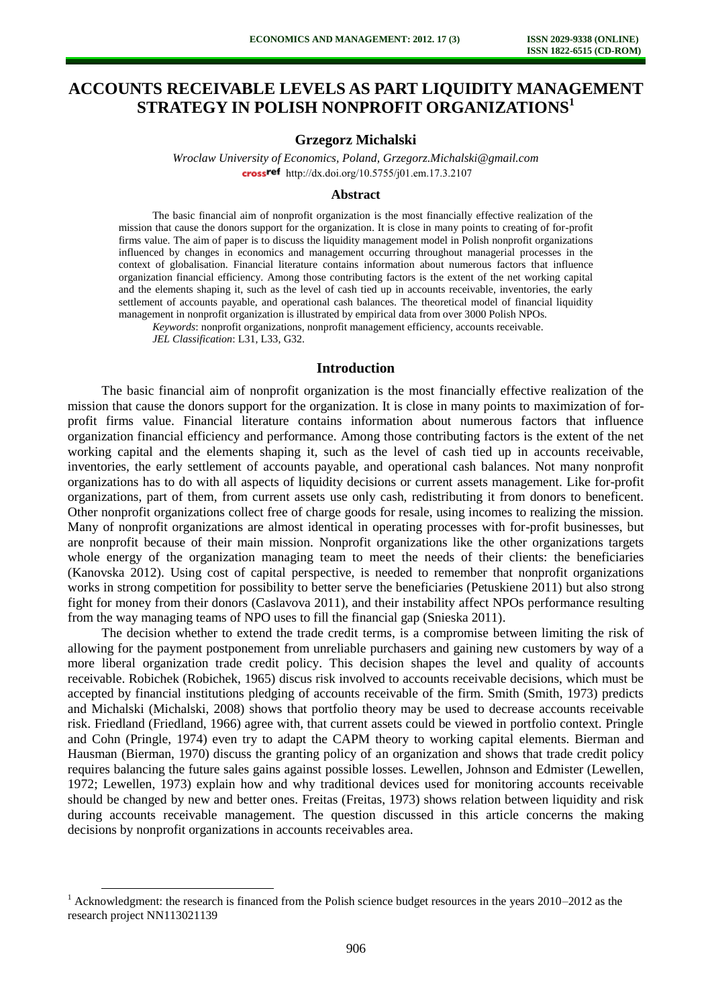# **ACCOUNTS RECEIVABLE LEVELS AS PART LIQUIDITY MANAGEMENT STRATEGY IN POLISH NONPROFIT ORGANIZATIONS<sup>1</sup>**

## **Grzegorz Michalski**

*Wroclaw University of Economics, Poland, [Grzegorz.Michalski@gmail.com](mailto:Grzegorz.Michalski@gmail.com)* crossref [http://dx.doi.org/10.5755/j01.e](http://dx.doi.org/10.5755/j01.em.17.3.2107)m.17.3.2107

#### **Abstract**

The basic financial aim of nonprofit organization is the most financially effective realization of the mission that cause the donors support for the organization. It is close in many points to creating of for-profit firms value. The aim of paper is to discuss the liquidity management model in Polish nonprofit organizations influenced by changes in economics and management occurring throughout managerial processes in the context of globalisation. Financial literature contains information about numerous factors that influence organization financial efficiency. Among those contributing factors is the extent of the net working capital and the elements shaping it, such as the level of cash tied up in accounts receivable, inventories, the early settlement of accounts payable, and operational cash balances. The theoretical model of financial liquidity management in nonprofit organization is illustrated by empirical data from over 3000 Polish NPOs.

*Keywords*: nonprofit organizations, nonprofit management efficiency, accounts receivable.

*JEL Classification*: L31, L33, G32.

l

#### **Introduction**

The basic financial aim of nonprofit organization is the most financially effective realization of the mission that cause the donors support for the organization. It is close in many points to maximization of forprofit firms value. Financial literature contains information about numerous factors that influence organization financial efficiency and performance. Among those contributing factors is the extent of the net working capital and the elements shaping it, such as the level of cash tied up in accounts receivable, inventories, the early settlement of accounts payable, and operational cash balances. Not many nonprofit organizations has to do with all aspects of liquidity decisions or current assets management. Like for-profit organizations, part of them, from current assets use only cash, redistributing it from donors to beneficent. Other nonprofit organizations collect free of charge goods for resale, using incomes to realizing the mission. Many of nonprofit organizations are almost identical in operating processes with for-profit businesses, but are nonprofit because of their main mission. Nonprofit organizations like the other organizations targets whole energy of the organization managing team to meet the needs of their clients: the beneficiaries (Kanovska 2012). Using cost of capital perspective, is needed to remember that nonprofit organizations works in strong competition for possibility to better serve the beneficiaries (Petuskiene 2011) but also strong fight for money from their donors (Caslavova 2011), and their instability affect NPOs performance resulting from the way managing teams of NPO uses to fill the financial gap (Snieska 2011).

The decision whether to extend the trade credit terms, is a compromise between limiting the risk of allowing for the payment postponement from unreliable purchasers and gaining new customers by way of a more liberal organization trade credit policy. This decision shapes the level and quality of accounts receivable. Robichek (Robichek, 1965) discus risk involved to accounts receivable decisions, which must be accepted by financial institutions pledging of accounts receivable of the firm. Smith (Smith, 1973) predicts and Michalski (Michalski, 2008) shows that portfolio theory may be used to decrease accounts receivable risk. Friedland (Friedland, 1966) agree with, that current assets could be viewed in portfolio context. Pringle and Cohn (Pringle, 1974) even try to adapt the CAPM theory to working capital elements. Bierman and Hausman (Bierman, 1970) discuss the granting policy of an organization and shows that trade credit policy requires balancing the future sales gains against possible losses. Lewellen, Johnson and Edmister (Lewellen, 1972; Lewellen, 1973) explain how and why traditional devices used for monitoring accounts receivable should be changed by new and better ones. Freitas (Freitas, 1973) shows relation between liquidity and risk during accounts receivable management. The question discussed in this article concerns the making decisions by nonprofit organizations in accounts receivables area.

<sup>&</sup>lt;sup>1</sup> Acknowledgment: the research is financed from the Polish science budget resources in the years  $2010-2012$  as the research project NN113021139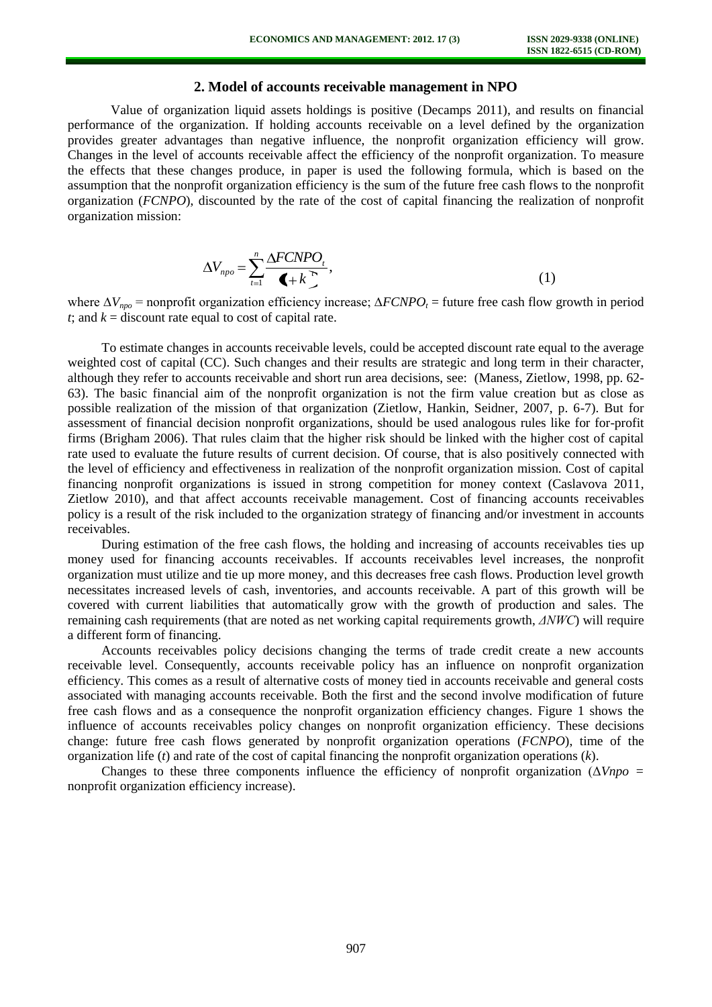# **2. Model of accounts receivable management in NPO**

Value of organization liquid assets holdings is positive (Decamps 2011), and results on financial performance of the organization. If holding accounts receivable on a level defined by the organization provides greater advantages than negative influence, the nonprofit organization efficiency will grow. Changes in the level of accounts receivable affect the efficiency of the nonprofit organization. To measure the effects that these changes produce, in paper is used the following formula, which is based on the assumption that the nonprofit organization efficiency is the sum of the future free cash flows to the nonprofit organization (*FCNPO*), discounted by the rate of the cost of capital financing the realization of nonprofit organization mission:

$$
\Delta V_{\text{npo}} = \sum_{t=1}^{n} \frac{\Delta F C N P O_t}{\left( + k \right)^2},\tag{1}
$$

where ∆*Vnpo* = nonprofit organization efficiency increase; ∆*FCNPO<sup>t</sup>* = future free cash flow growth in period *t*; and  $k =$  discount rate equal to cost of capital rate.

To estimate changes in accounts receivable levels, could be accepted discount rate equal to the average weighted cost of capital (CC). Such changes and their results are strategic and long term in their character, although they refer to accounts receivable and short run area decisions, see: (Maness, Zietlow, 1998, pp. 62- 63). The basic financial aim of the nonprofit organization is not the firm value creation but as close as possible realization of the mission of that organization (Zietlow, Hankin, Seidner, 2007, p. 6-7). But for assessment of financial decision nonprofit organizations, should be used analogous rules like for for-profit firms (Brigham 2006). That rules claim that the higher risk should be linked with the higher cost of capital rate used to evaluate the future results of current decision. Of course, that is also positively connected with the level of efficiency and effectiveness in realization of the nonprofit organization mission. Cost of capital financing nonprofit organizations is issued in strong competition for money context (Caslavova 2011, Zietlow 2010), and that affect accounts receivable management. Cost of financing accounts receivables policy is a result of the risk included to the organization strategy of financing and/or investment in accounts receivables.

During estimation of the free cash flows, the holding and increasing of accounts receivables ties up money used for financing accounts receivables. If accounts receivables level increases, the nonprofit organization must utilize and tie up more money, and this decreases free cash flows. Production level growth necessitates increased levels of cash, inventories, and accounts receivable. A part of this growth will be covered with current liabilities that automatically grow with the growth of production and sales. The remaining cash requirements (that are noted as net working capital requirements growth, *ΔNWC*) will require a different form of financing.

Accounts receivables policy decisions changing the terms of trade credit create a new accounts receivable level. Consequently, accounts receivable policy has an influence on nonprofit organization efficiency. This comes as a result of alternative costs of money tied in accounts receivable and general costs associated with managing accounts receivable. Both the first and the second involve modification of future free cash flows and as a consequence the nonprofit organization efficiency changes. Figure 1 shows the influence of accounts receivables policy changes on nonprofit organization efficiency. These decisions change: future free cash flows generated by nonprofit organization operations (*FCNPO*), time of the organization life (*t*) and rate of the cost of capital financing the nonprofit organization operations (*k*).

Changes to these three components influence the efficiency of nonprofit organization (Δ*Vnpo =*  nonprofit organization efficiency increase).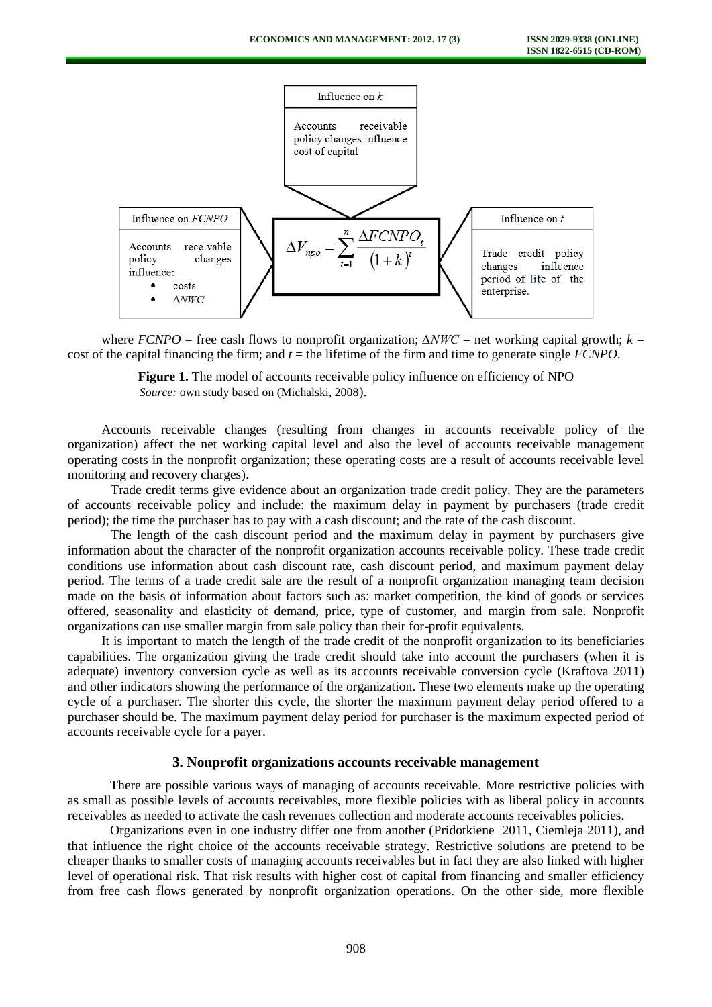

where *FCNPO* = free cash flows to nonprofit organization; *∆NWC* = net working capital growth; *k* = cost of the capital financing the firm; and  $t =$  the lifetime of the firm and time to generate single *FCNPO*.

> **Figure 1.** The model of accounts receivable policy influence on efficiency of NPO *Source:* own study based on (Michalski, 2008).

Accounts receivable changes (resulting from changes in accounts receivable policy of the organization) affect the net working capital level and also the level of accounts receivable management operating costs in the nonprofit organization; these operating costs are a result of accounts receivable level monitoring and recovery charges).

Trade credit terms give evidence about an organization trade credit policy. They are the parameters of accounts receivable policy and include: the maximum delay in payment by purchasers (trade credit period); the time the purchaser has to pay with a cash discount; and the rate of the cash discount.

The length of the cash discount period and the maximum delay in payment by purchasers give information about the character of the nonprofit organization accounts receivable policy. These trade credit conditions use information about cash discount rate, cash discount period, and maximum payment delay period. The terms of a trade credit sale are the result of a nonprofit organization managing team decision made on the basis of information about factors such as: market competition, the kind of goods or services offered, seasonality and elasticity of demand, price, type of customer, and margin from sale. Nonprofit organizations can use smaller margin from sale policy than their for-profit equivalents.

It is important to match the length of the trade credit of the nonprofit organization to its beneficiaries capabilities. The organization giving the trade credit should take into account the purchasers (when it is adequate) inventory conversion cycle as well as its accounts receivable conversion cycle (Kraftova 2011) and other indicators showing the performance of the organization. These two elements make up the operating cycle of a purchaser. The shorter this cycle, the shorter the maximum payment delay period offered to a purchaser should be. The maximum payment delay period for purchaser is the maximum expected period of accounts receivable cycle for a payer.

### **3. Nonprofit organizations accounts receivable management**

There are possible various ways of managing of accounts receivable. More restrictive policies with as small as possible levels of accounts receivables, more flexible policies with as liberal policy in accounts receivables as needed to activate the cash revenues collection and moderate accounts receivables policies.

Organizations even in one industry differ one from another (Pridotkiene 2011, Ciemleja 2011), and that influence the right choice of the accounts receivable strategy. Restrictive solutions are pretend to be cheaper thanks to smaller costs of managing accounts receivables but in fact they are also linked with higher level of operational risk. That risk results with higher cost of capital from financing and smaller efficiency from free cash flows generated by nonprofit organization operations. On the other side, more flexible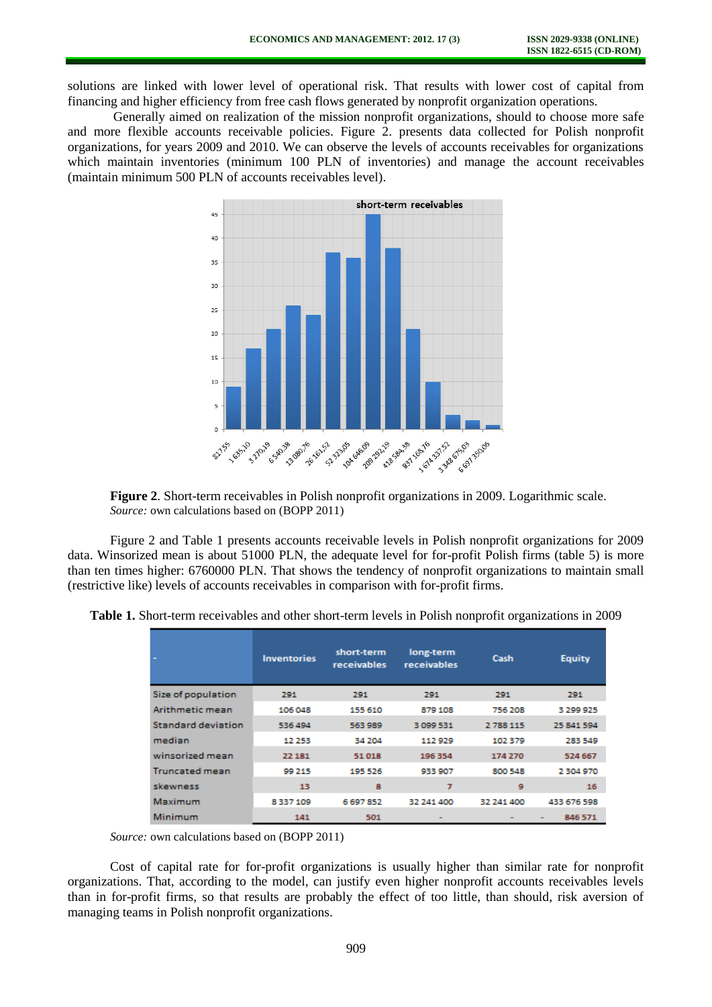solutions are linked with lower level of operational risk. That results with lower cost of capital from financing and higher efficiency from free cash flows generated by nonprofit organization operations.

Generally aimed on realization of the mission nonprofit organizations, should to choose more safe and more flexible accounts receivable policies. Figure 2. presents data collected for Polish nonprofit organizations, for years 2009 and 2010. We can observe the levels of accounts receivables for organizations which maintain inventories (minimum 100 PLN of inventories) and manage the account receivables (maintain minimum 500 PLN of accounts receivables level).



**Figure 2**. Short-term receivables in Polish nonprofit organizations in 2009. Logarithmic scale. *Source:* own calculations based on (BOPP 2011)

Figure 2 and Table 1 presents accounts receivable levels in Polish nonprofit organizations for 2009 data. Winsorized mean is about 51000 PLN, the adequate level for for-profit Polish firms (table 5) is more than ten times higher: 6760000 PLN. That shows the tendency of nonprofit organizations to maintain small (restrictive like) levels of accounts receivables in comparison with for-profit firms.

|                       | <b>Inventories</b> | short-term<br><b>receivables</b> | long-term<br><b>receivables</b> | Cash       | <b>Equity</b> |
|-----------------------|--------------------|----------------------------------|---------------------------------|------------|---------------|
| Size of population    | 291                | 291                              | 291                             | 291        | 291           |
| Arithmetic mean       | 106 048            | 155 610                          | 879 108                         | 756 208    | 3 299 925     |
| Standard deviation    | 536 494            | 563 989                          | 3099531                         | 2788 115   | 25 841 594    |
| median                | 12 2 5 3           | 34 204                           | 112929                          | 102379     | 283 549       |
| winsorized mean       | 22 18 1            | 51018                            | 196 354                         | 174 270    | 524 667       |
| <b>Truncated mean</b> | 99 215             | 195 526                          | 933 907                         | 800 548    | 2 304 970     |
| skewness              | 13                 | 8                                | 7                               | 9          | 16            |
| Maximum               | 8337109            | 6697852                          | 32 241 400                      | 32 241 400 | 433 676 598   |
| Minimum               | 141                | 501                              |                                 |            | 846 571<br>۰  |

**Table 1.** Short-term receivables and other short-term levels in Polish nonprofit organizations in 2009

*Source:* own calculations based on (BOPP 2011)

Cost of capital rate for for-profit organizations is usually higher than similar rate for nonprofit organizations. That, according to the model, can justify even higher nonprofit accounts receivables levels than in for-profit firms, so that results are probably the effect of too little, than should, risk aversion of managing teams in Polish nonprofit organizations.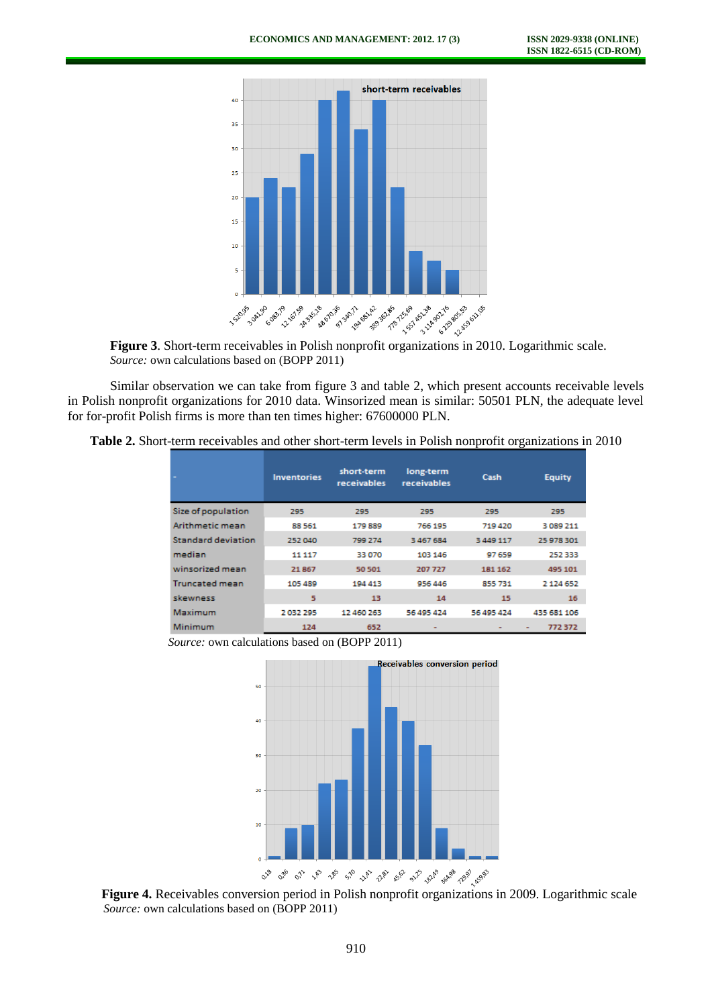

*Source:* own calculations based on (BOPP 2011)

Similar observation we can take from figure 3 and table 2, which present accounts receivable levels in Polish nonprofit organizations for 2010 data. Winsorized mean is similar: 50501 PLN, the adequate level for for-profit Polish firms is more than ten times higher: 67600000 PLN.

**Table 2.** Short-term receivables and other short-term levels in Polish nonprofit organizations in 2010

|                       | <b>Inventories</b> | short-term<br><b>receivables</b> | long-term<br>receivables | Cash          | <b>Equity</b> |
|-----------------------|--------------------|----------------------------------|--------------------------|---------------|---------------|
| Size of population    | 295                | 295                              | 295                      | 295           | 295           |
| Arithmetic mean       | 88561              | 179889                           | 766 195                  | 719 420       | 3 089 211     |
| Standard deviation    | 252 040            | 799 274                          | 3 467 684                | 3 4 4 9 1 1 7 | 25 978 301    |
| median                | 11 117             | 33 070                           | 103 146                  | 97 659        | 252333        |
| winsorized mean       | 21867              | 50 501                           | 207 727                  | 181 162       | 495 101       |
| <b>Truncated mean</b> | 105 489            | 194 413                          | 956 446                  | 855 731       | 2 1 2 4 6 5 2 |
| skewness              | 5                  | 13                               | 14                       | 15            | 16            |
| Maximum               | 2032295            | 12 460 263                       | 56 495 424               | 56 495 424    | 435 681 106   |
| Minimum               | 124                | 652                              |                          |               | 772372        |

*Source:* own calculations based on (BOPP 2011)



**Figure 4.** Receivables conversion period in Polish nonprofit organizations in 2009. Logarithmic scale *Source:* own calculations based on (BOPP 2011)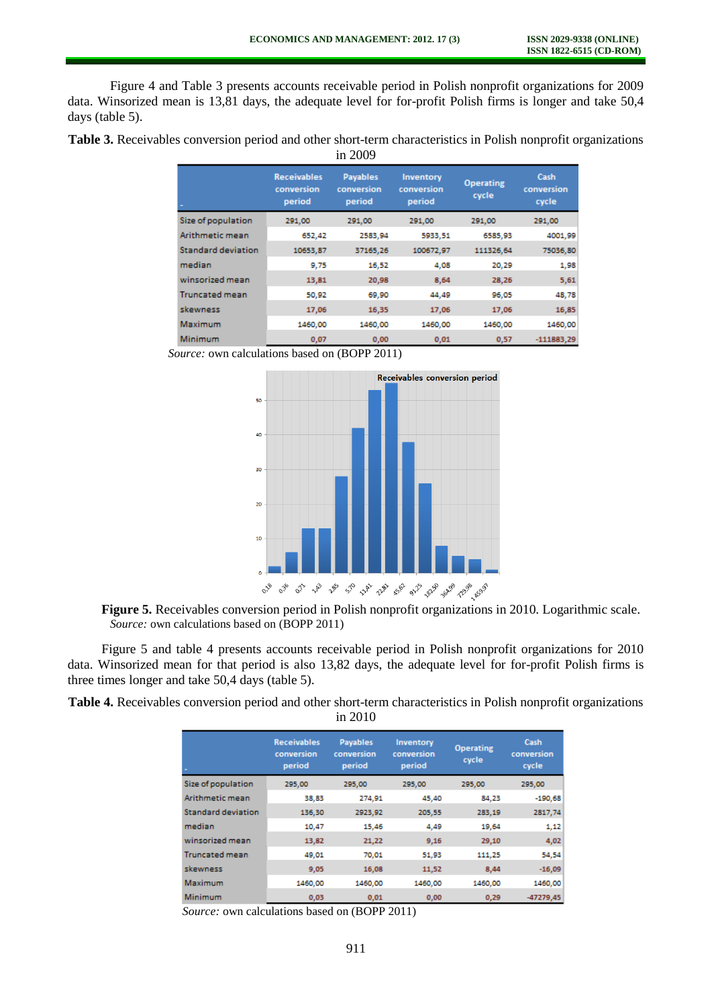Figure 4 and Table 3 presents accounts receivable period in Polish nonprofit organizations for 2009 data. Winsorized mean is 13,81 days, the adequate level for for-profit Polish firms is longer and take 50,4 days (table 5).

**Table 3.** Receivables conversion period and other short-term characteristics in Polish nonprofit organizations in 2009

|                       | <b>Receivables</b><br>conversion<br>period | <b>Payables</b><br>conversion<br>period | Inventory<br>conversion<br>period | <b>Operating</b><br>cycle | Cash<br>conversion<br>cycle |
|-----------------------|--------------------------------------------|-----------------------------------------|-----------------------------------|---------------------------|-----------------------------|
| Size of population    | 291,00                                     | 291,00                                  | 291.00                            | 291.00                    | 291.00                      |
| Arithmetic mean       | 652,42                                     | 2583,94                                 | 5933,51                           | 6585.93                   | 4001,99                     |
| Standard deviation    | 10653.87                                   | 37165.26                                | 100672.97                         | 111326.64                 | 75036.80                    |
| median                | 9,75                                       | 16,52                                   | 4,08                              | 20.29                     | 1,98                        |
| winsorized mean       | 13,81                                      | 20,98                                   | 8,64                              | 28,26                     | 5,61                        |
| <b>Truncated mean</b> | 50,92                                      | 69,90                                   | 44,49                             | 96,05                     | 48,78                       |
| skewness              | 17,06                                      | 16,35                                   | 17,06                             | 17,06                     | 16,85                       |
| Maximum               | 1460.00                                    | 1460.00                                 | 1460.00                           | 1460.00                   | 1460,00                     |
| Minimum               | 0.07                                       | 0.00                                    | 0.01                              | 0.57                      | $-111883,29$                |

*Source:* own calculations based on (BOPP 2011)



**Figure 5.** Receivables conversion period in Polish nonprofit organizations in 2010. Logarithmic scale. *Source:* own calculations based on (BOPP 2011)

Figure 5 and table 4 presents accounts receivable period in Polish nonprofit organizations for 2010 data. Winsorized mean for that period is also 13,82 days, the adequate level for for-profit Polish firms is three times longer and take 50,4 days (table 5).

**Table 4.** Receivables conversion period and other short-term characteristics in Polish nonprofit organizations in 2010

|                           | <b>Receivables</b><br>conversion<br>period | <b>Payables</b><br>conversion<br>period | Inventory<br>conversion<br>period | <b>Operating</b><br>cycle | Cash<br>conversion<br>cycle |
|---------------------------|--------------------------------------------|-----------------------------------------|-----------------------------------|---------------------------|-----------------------------|
| Size of population        | 295.00                                     | 295.00                                  | 295,00                            | 295.00                    | 295,00                      |
| Arithmetic mean           | 38,83                                      | 274.91                                  | 45,40                             | 84,23                     | $-190,68$                   |
| <b>Standard deviation</b> | 136,30                                     | 2923,92                                 | 205,55                            | 283,19                    | 2817,74                     |
| median                    | 10,47                                      | 15,46                                   | 4,49                              | 19.64                     | 1,12                        |
| winsorized mean           | 13,82                                      | 21,22                                   | 9,16                              | 29,10                     | 4,02                        |
| <b>Truncated mean</b>     | 49.01                                      | 70.01                                   | 51.93                             | 111,25                    | 54,54                       |
| skewness                  | 9,05                                       | 16,08                                   | 11,52                             | 8,44                      | $-16,09$                    |
| Maximum                   | 1460.00                                    | 1460.00                                 | 1460.00                           | 1460.00                   | 1460.00                     |
| Minimum                   | 0,03                                       | 0,01                                    | 0,00                              | 0,29                      | $-47279.45$                 |

*Source:* own calculations based on (BOPP 2011)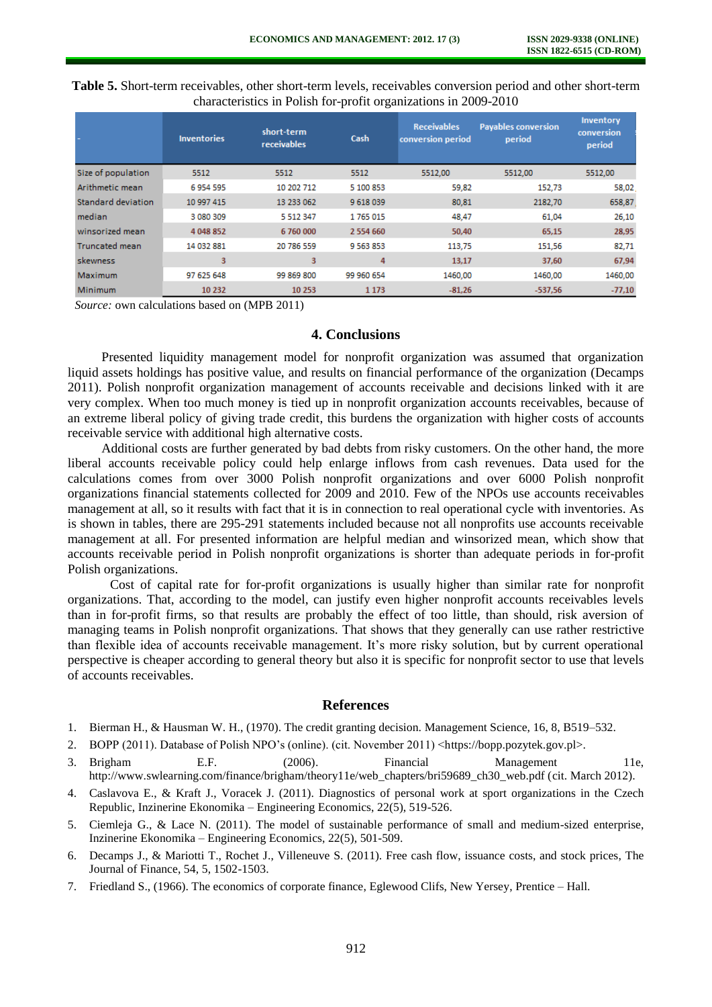|                           | <b>Inventories</b> | short-term<br>receivables | Cash        | <b>Receivables</b><br>conversion period | <b>Payables conversion</b><br>period | Inventory<br>conversion<br>period |
|---------------------------|--------------------|---------------------------|-------------|-----------------------------------------|--------------------------------------|-----------------------------------|
| Size of population        | 5512               | 5512                      | 5512        | 5512,00                                 | 5512,00                              | 5512,00                           |
| Arithmetic mean           | 6 954 595          | 10 202 712                | 5 100 853   | 59,82                                   | 152,73                               | 58,02                             |
| <b>Standard deviation</b> | 10 997 415         | 13 233 062                | 9 618 039   | 80,81                                   | 2182,70                              | 658,87                            |
| median                    | 3 080 309          | 5 5 1 2 3 4 7             | 1765 015    | 48,47                                   | 61,04                                | 26,10                             |
| winsorized mean           | 4 048 852          | 6 760 000                 | 2 554 660   | 50,40                                   | 65,15                                | 28,95                             |
| <b>Truncated mean</b>     | 14 032 881         | 20 786 559                | 9 5 63 8 53 | 113,75                                  | 151,56                               | 82,71                             |
| skewness                  | 3                  | 3                         | 4           | 13,17                                   | 37,60                                | 67,94                             |
| Maximum                   | 97 625 648         | 99 869 800                | 99 960 654  | 1460,00                                 | 1460,00                              | 1460,00                           |
| Minimum                   | 10 232             | 10 253                    | 1 1 7 3     | $-81,26$                                | $-537.56$                            | $-77,10$                          |

**Table 5.** Short-term receivables, other short-term levels, receivables conversion period and other short-term characteristics in Polish for-profit organizations in 2009-2010

*Source:* own calculations based on (MPB 2011)

# **4. Conclusions**

Presented liquidity management model for nonprofit organization was assumed that organization liquid assets holdings has positive value, and results on financial performance of the organization (Decamps 2011). Polish nonprofit organization management of accounts receivable and decisions linked with it are very complex. When too much money is tied up in nonprofit organization accounts receivables, because of an extreme liberal policy of giving trade credit, this burdens the organization with higher costs of accounts receivable service with additional high alternative costs.

Additional costs are further generated by bad debts from risky customers. On the other hand, the more liberal accounts receivable policy could help enlarge inflows from cash revenues. Data used for the calculations comes from over 3000 Polish nonprofit organizations and over 6000 Polish nonprofit organizations financial statements collected for 2009 and 2010. Few of the NPOs use accounts receivables management at all, so it results with fact that it is in connection to real operational cycle with inventories. As is shown in tables, there are 295-291 statements included because not all nonprofits use accounts receivable management at all. For presented information are helpful median and winsorized mean, which show that accounts receivable period in Polish nonprofit organizations is shorter than adequate periods in for-profit Polish organizations.

Cost of capital rate for for-profit organizations is usually higher than similar rate for nonprofit organizations. That, according to the model, can justify even higher nonprofit accounts receivables levels than in for-profit firms, so that results are probably the effect of too little, than should, risk aversion of managing teams in Polish nonprofit organizations. That shows that they generally can use rather restrictive than flexible idea of accounts receivable management. It's more risky solution, but by current operational perspective is cheaper according to general theory but also it is specific for nonprofit sector to use that levels of accounts receivables.

## **References**

- 1. Bierman H., & Hausman W. H., (1970). The credit granting decision. Management Science, 16, 8, B519–532.
- 2. BOPP (2011). Database of Polish NPO's (online). (cit. November 2011) <https://bopp.pozytek.gov.pl>.
- 3. Brigham E.F. (2006). Financial Management 11e, http://www.swlearning.com/finance/brigham/theory11e/web\_chapters/bri59689\_ch30\_web.pdf (cit. March 2012).
- 4. Caslavova E., & Kraft J., Voracek J. (2011). Diagnostics of personal work at sport organizations in the Czech Republic, Inzinerine Ekonomika – Engineering Economics,  $22(5)$ , 519-526.
- 5. Ciemleja G., & Lace N. (2011). The model of sustainable performance of small and medium-sized enterprise, Inzinerine Ekonomika – Engineering Economics, 22(5), 501-509.
- 6. Decamps J., & Mariotti T., Rochet J., Villeneuve S. (2011). Free cash flow, issuance costs, and stock prices, The Journal of Finance, 54, 5, 1502-1503.
- 7. Friedland S., (1966). The economics of corporate finance, Eglewood Clifs, New Yersey, Prentice Hall.